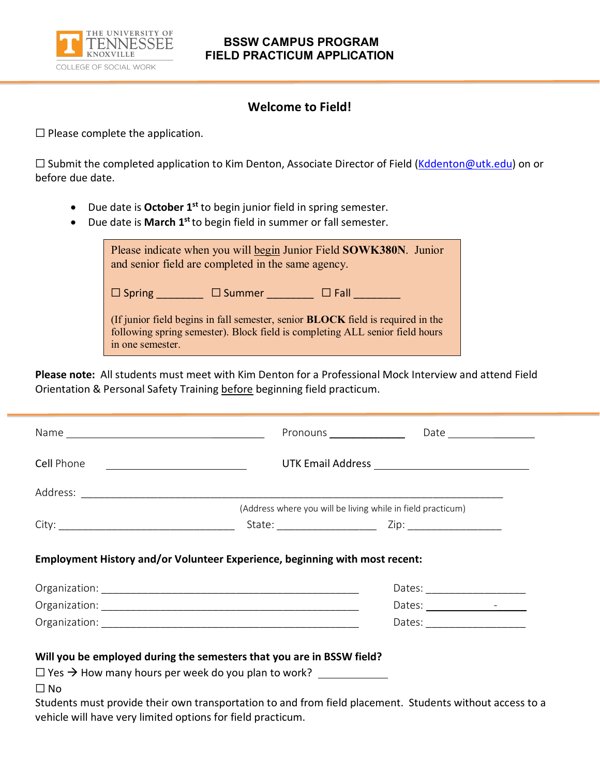

## **BSSW CAMPUS PROGRAM FIELD PRACTICUM APPLICATION**

## **Welcome to Field!**

 $\Box$  Please complete the application.

□ Submit the completed application to Kim Denton, Associate Director of Field [\(Kddenton@utk.edu\)](mailto:Kddenton@utk.edu) on or before due date.

- Due date is **October 1st** to begin junior field in spring semester.
- Due date is **March 1st** to begin field in summer or fall semester.

| Please indicate when you will begin Junior Field SOWK380N. Junior<br>and senior field are completed in the same agency.                                                                    |  |
|--------------------------------------------------------------------------------------------------------------------------------------------------------------------------------------------|--|
| $\square$ Summer<br>$\Box$ Spring<br>$\Box$ Fall                                                                                                                                           |  |
| (If junior field begins in fall semester, senior <b>BLOCK</b> field is required in the<br>following spring semester). Block field is completing ALL senior field hours<br>in one semester. |  |

**Please note:** All students must meet with Kim Denton for a Professional Mock Interview and attend Field Orientation & Personal Safety Training before beginning field practicum.

| Cell Phone <u>________________________________</u> |  |                                                                                                                                                                                                                                                                                                                                                                                                                          |
|----------------------------------------------------|--|--------------------------------------------------------------------------------------------------------------------------------------------------------------------------------------------------------------------------------------------------------------------------------------------------------------------------------------------------------------------------------------------------------------------------|
|                                                    |  |                                                                                                                                                                                                                                                                                                                                                                                                                          |
|                                                    |  | (Address where you will be living while in field practicum)                                                                                                                                                                                                                                                                                                                                                              |
|                                                    |  |                                                                                                                                                                                                                                                                                                                                                                                                                          |
|                                                    |  |                                                                                                                                                                                                                                                                                                                                                                                                                          |
|                                                    |  | Dates: $\frac{1}{\sqrt{1-\frac{1}{2}}}\frac{1}{\sqrt{1-\frac{1}{2}}}\frac{1}{\sqrt{1-\frac{1}{2}}}\frac{1}{\sqrt{1-\frac{1}{2}}}\frac{1}{\sqrt{1-\frac{1}{2}}}\frac{1}{\sqrt{1-\frac{1}{2}}}\frac{1}{\sqrt{1-\frac{1}{2}}}\frac{1}{\sqrt{1-\frac{1}{2}}}\frac{1}{\sqrt{1-\frac{1}{2}}}\frac{1}{\sqrt{1-\frac{1}{2}}}\frac{1}{\sqrt{1-\frac{1}{2}}}\frac{1}{\sqrt{1-\frac{1}{2}}}\frac{1}{\sqrt{1-\frac{1}{2}}}\frac{1}{$ |
|                                                    |  |                                                                                                                                                                                                                                                                                                                                                                                                                          |
|                                                    |  |                                                                                                                                                                                                                                                                                                                                                                                                                          |

Students must provide their own transportation to and from field placement. Students without access to a vehicle will have very limited options for field practicum.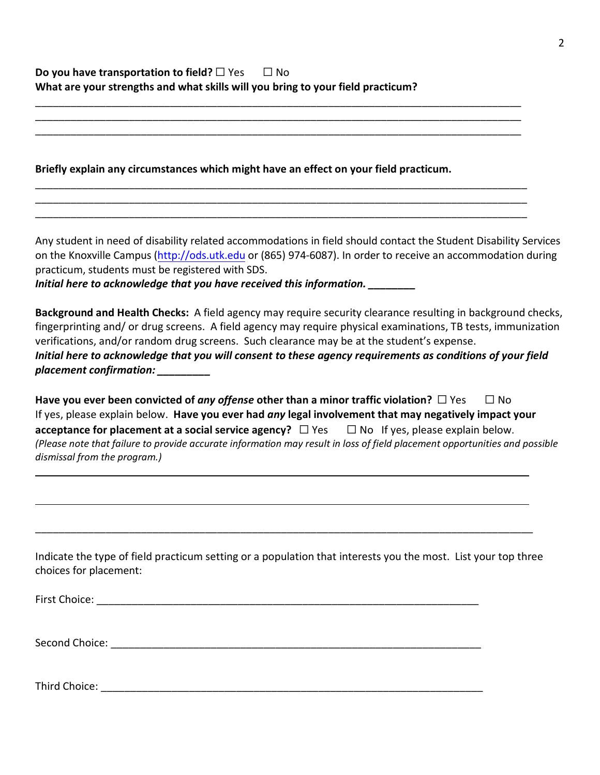## **Do you have transportation to field?** □ Yes □ No **What are your strengths and what skills will you bring to your field practicum?**

**Briefly explain any circumstances which might have an effect on your field practicum.**

\_\_\_\_\_\_\_\_\_\_\_\_\_\_\_\_\_\_\_\_\_\_\_\_\_\_\_\_\_\_\_\_\_\_\_\_\_\_\_\_\_\_\_\_\_\_\_\_\_\_\_\_\_\_\_\_\_\_\_\_\_\_\_\_\_\_\_\_\_\_\_\_\_\_\_\_\_\_\_\_\_\_\_ \_\_\_\_\_\_\_\_\_\_\_\_\_\_\_\_\_\_\_\_\_\_\_\_\_\_\_\_\_\_\_\_\_\_\_\_\_\_\_\_\_\_\_\_\_\_\_\_\_\_\_\_\_\_\_\_\_\_\_\_\_\_\_\_\_\_\_\_\_\_\_\_\_\_\_\_\_\_\_\_\_\_\_ \_\_\_\_\_\_\_\_\_\_\_\_\_\_\_\_\_\_\_\_\_\_\_\_\_\_\_\_\_\_\_\_\_\_\_\_\_\_\_\_\_\_\_\_\_\_\_\_\_\_\_\_\_\_\_\_\_\_\_\_\_\_\_\_\_\_\_\_\_\_\_\_\_\_\_\_\_\_\_\_\_\_\_

\_\_\_\_\_\_\_\_\_\_\_\_\_\_\_\_\_\_\_\_\_\_\_\_\_\_\_\_\_\_\_\_\_\_\_\_\_\_\_\_\_\_\_\_\_\_\_\_\_\_\_\_\_\_\_\_\_\_\_\_\_\_\_\_\_\_\_\_\_\_\_\_\_\_\_\_\_\_\_\_\_\_\_\_ \_\_\_\_\_\_\_\_\_\_\_\_\_\_\_\_\_\_\_\_\_\_\_\_\_\_\_\_\_\_\_\_\_\_\_\_\_\_\_\_\_\_\_\_\_\_\_\_\_\_\_\_\_\_\_\_\_\_\_\_\_\_\_\_\_\_\_\_\_\_\_\_\_\_\_\_\_\_\_\_\_\_\_\_ \_\_\_\_\_\_\_\_\_\_\_\_\_\_\_\_\_\_\_\_\_\_\_\_\_\_\_\_\_\_\_\_\_\_\_\_\_\_\_\_\_\_\_\_\_\_\_\_\_\_\_\_\_\_\_\_\_\_\_\_\_\_\_\_\_\_\_\_\_\_\_\_\_\_\_\_\_\_\_\_\_\_\_\_

Any student in need of disability related accommodations in field should contact the Student Disability Services on the Knoxville Campus [\(http://ods.utk.edu](http://ods.utk.edu/) or (865) 974‐6087). In order to receive an accommodation during practicum, students must be registered with SDS.

*Initial here to acknowledge that you have received this information. \_\_\_\_\_\_\_\_*

**Background and Health Checks:** A field agency may require security clearance resulting in background checks, fingerprinting and/ or drug screens. A field agency may require physical examinations, TB tests, immunization verifications, and/or random drug screens. Such clearance may be at the student's expense. *Initial here to acknowledge that you will consent to these agency requirements as conditions of your field placement confirmation: \_\_\_\_\_\_\_\_\_*

**Have you ever been convicted of** *any offense* **other than a minor traffic violation?** ☐ Yes ☐ No If yes, please explain below. **Have you ever had** *any* **legal involvement that may negatively impact your acceptance for placement at a social service agency?** ☐ Yes ☐ No If yes, please explain below. *(Please note that failure to provide accurate information may result in loss of field placement opportunities and possible dismissal from the program.)* 

Indicate the type of field practicum setting or a population that interests you the most. List your top three choices for placement:

\_\_\_\_\_\_\_\_\_\_\_\_\_\_\_\_\_\_\_\_\_\_\_\_\_\_\_\_\_\_\_\_\_\_\_\_\_\_\_\_\_\_\_\_\_\_\_\_\_\_\_\_\_\_\_\_\_\_\_\_\_\_\_\_\_\_\_\_\_\_\_\_\_\_\_\_\_\_\_\_\_\_\_\_\_

First Choice: \_\_\_\_\_\_\_\_\_\_\_\_\_\_\_\_\_\_\_\_\_\_\_\_\_\_\_\_\_\_\_\_\_\_\_\_\_\_\_\_\_\_\_\_\_\_\_\_\_\_\_\_\_\_\_\_\_\_\_\_\_\_\_\_\_

Second Choice: \_\_\_\_\_\_\_\_\_\_\_\_\_\_\_\_\_\_\_\_\_\_\_\_\_\_\_\_\_\_\_\_\_\_\_\_\_\_\_\_\_\_\_\_\_\_\_\_\_\_\_\_\_\_\_\_\_\_\_\_\_\_\_

Third Choice: \_\_\_\_\_\_\_\_\_\_\_\_\_\_\_\_\_\_\_\_\_\_\_\_\_\_\_\_\_\_\_\_\_\_\_\_\_\_\_\_\_\_\_\_\_\_\_\_\_\_\_\_\_\_\_\_\_\_\_\_\_\_\_\_\_